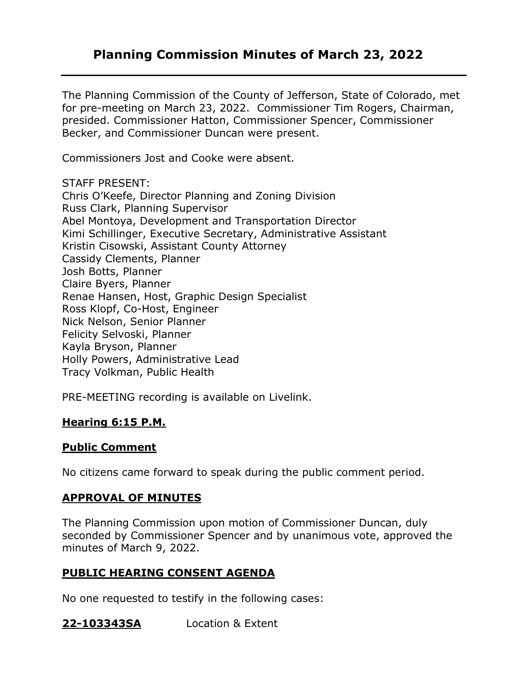## **Planning Commission Minutes of March 23, 2022**

The Planning Commission of the County of Jefferson, State of Colorado, met for pre-meeting on March 23, 2022. Commissioner Tim Rogers, Chairman, presided. Commissioner Hatton, Commissioner Spencer, Commissioner Becker, and Commissioner Duncan were present.

Commissioners Jost and Cooke were absent.

STAFF PRESENT:

Chris O'Keefe, Director Planning and Zoning Division Russ Clark, Planning Supervisor Abel Montoya, Development and Transportation Director Kimi Schillinger, Executive Secretary, Administrative Assistant Kristin Cisowski, Assistant County Attorney Cassidy Clements, Planner Josh Botts, Planner Claire Byers, Planner Renae Hansen, Host, Graphic Design Specialist Ross Klopf, Co-Host, Engineer Nick Nelson, Senior Planner Felicity Selvoski, Planner Kayla Bryson, Planner Holly Powers, Administrative Lead Tracy Volkman, Public Health

PRE-MEETING recording is available on Livelink.

## **Hearing 6:15 P.M.**

## **Public Comment**

No citizens came forward to speak during the public comment period.

## **APPROVAL OF MINUTES**

The Planning Commission upon motion of Commissioner Duncan, duly seconded by Commissioner Spencer and by unanimous vote, approved the minutes of March 9, 2022.

## **PUBLIC HEARING CONSENT AGENDA**

No one requested to testify in the following cases:

**22-103343SA** Location & Extent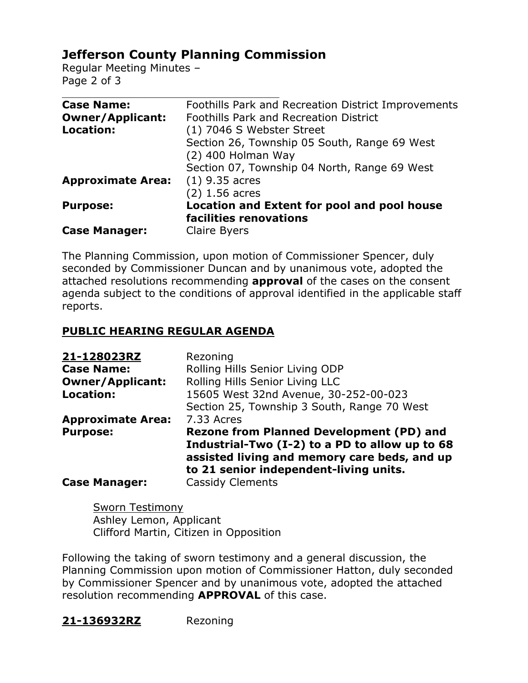# **Jefferson County Planning Commission**

Regular Meeting Minutes – Page 2 of 3

| <b>Case Name:</b>        | Foothills Park and Recreation District Improvements |
|--------------------------|-----------------------------------------------------|
| <b>Owner/Applicant:</b>  | <b>Foothills Park and Recreation District</b>       |
| Location:                | (1) 7046 S Webster Street                           |
|                          | Section 26, Township 05 South, Range 69 West        |
|                          | (2) 400 Holman Way                                  |
|                          | Section 07, Township 04 North, Range 69 West        |
| <b>Approximate Area:</b> | $(1)$ 9.35 acres                                    |
|                          | $(2)$ 1.56 acres                                    |
| <b>Purpose:</b>          | Location and Extent for pool and pool house         |
|                          | facilities renovations                              |
| <b>Case Manager:</b>     | Claire Byers                                        |

The Planning Commission, upon motion of Commissioner Spencer, duly seconded by Commissioner Duncan and by unanimous vote, adopted the attached resolutions recommending **approval** of the cases on the consent agenda subject to the conditions of approval identified in the applicable staff reports.

### **PUBLIC HEARING REGULAR AGENDA**

| 21-128023RZ              | Rezoning                                                                                                                                 |
|--------------------------|------------------------------------------------------------------------------------------------------------------------------------------|
| <b>Case Name:</b>        | Rolling Hills Senior Living ODP                                                                                                          |
| <b>Owner/Applicant:</b>  | Rolling Hills Senior Living LLC                                                                                                          |
| <b>Location:</b>         | 15605 West 32nd Avenue, 30-252-00-023                                                                                                    |
|                          | Section 25, Township 3 South, Range 70 West                                                                                              |
| <b>Approximate Area:</b> | 7.33 Acres                                                                                                                               |
| <b>Purpose:</b>          | <b>Rezone from Planned Development (PD) and</b>                                                                                          |
|                          | Industrial-Two (I-2) to a PD to allow up to 68<br>assisted living and memory care beds, and up<br>to 21 senior independent-living units. |
| <b>Case Manager:</b>     | <b>Cassidy Clements</b>                                                                                                                  |

Sworn Testimony Ashley Lemon, Applicant Clifford Martin, Citizen in Opposition

Following the taking of sworn testimony and a general discussion, the Planning Commission upon motion of Commissioner Hatton, duly seconded by Commissioner Spencer and by unanimous vote, adopted the attached resolution recommending **APPROVAL** of this case.

**21-136932RZ** Rezoning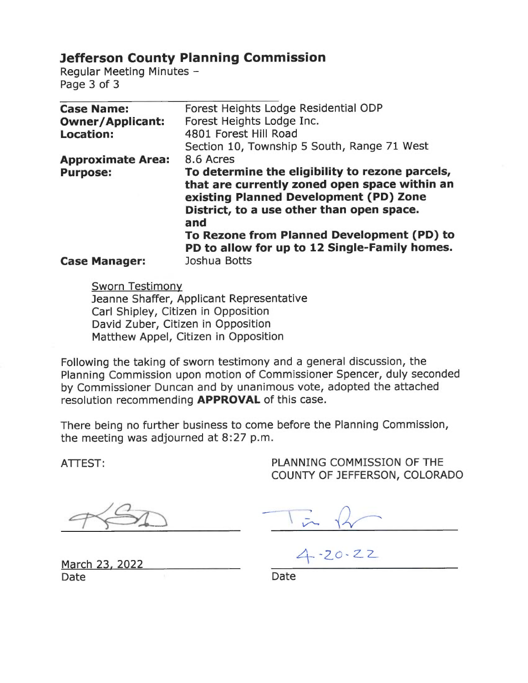# **Jefferson County Planning Commission**

Regular Meeting Minutes -Page 3 of 3

| <b>Case Name:</b>        | Forest Heights Lodge Residential ODP                                                                                                        |
|--------------------------|---------------------------------------------------------------------------------------------------------------------------------------------|
| <b>Owner/Applicant:</b>  | Forest Heights Lodge Inc.                                                                                                                   |
| <b>Location:</b>         | 4801 Forest Hill Road                                                                                                                       |
|                          | Section 10, Township 5 South, Range 71 West                                                                                                 |
| <b>Approximate Area:</b> | 8.6 Acres                                                                                                                                   |
| <b>Purpose:</b>          | To determine the eligibility to rezone parcels,                                                                                             |
|                          | that are currently zoned open space within an<br>existing Planned Development (PD) Zone<br>District, to a use other than open space.<br>and |
|                          | To Rezone from Planned Development (PD) to<br>PD to allow for up to 12 Single-Family homes.                                                 |
| <b>Case Manager:</b>     | Joshua Botts                                                                                                                                |

**Sworn Testimony** Jeanne Shaffer, Applicant Representative Carl Shipley, Citizen in Opposition David Zuber, Citizen in Opposition Matthew Appel, Citizen in Opposition

Following the taking of sworn testimony and a general discussion, the Planning Commission upon motion of Commissioner Spencer, duly seconded by Commissioner Duncan and by unanimous vote, adopted the attached resolution recommending **APPROVAL** of this case.

There being no further business to come before the Planning Commission, the meeting was adjourned at 8:27 p.m.

ATTEST:

PLANNING COMMISSION OF THE COUNTY OF JEFFERSON, COLORADO

March 23, 2022 Date

 $4 - 20 - 22$ 

Date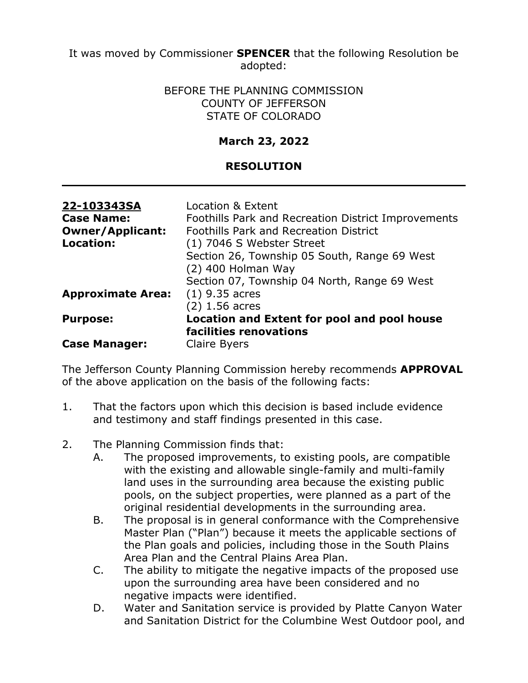It was moved by Commissioner **SPENCER** that the following Resolution be adopted:

#### BEFORE THE PLANNING COMMISSION COUNTY OF JEFFERSON STATE OF COLORADO

## **March 23, 2022**

## **RESOLUTION**

| 22-103343SA              | Location & Extent                                   |
|--------------------------|-----------------------------------------------------|
| <b>Case Name:</b>        | Foothills Park and Recreation District Improvements |
| <b>Owner/Applicant:</b>  | <b>Foothills Park and Recreation District</b>       |
| <b>Location:</b>         | (1) 7046 S Webster Street                           |
|                          | Section 26, Township 05 South, Range 69 West        |
|                          | (2) 400 Holman Way                                  |
|                          | Section 07, Township 04 North, Range 69 West        |
| <b>Approximate Area:</b> | $(1)$ 9.35 acres                                    |
|                          | $(2)$ 1.56 acres                                    |
| <b>Purpose:</b>          | Location and Extent for pool and pool house         |
|                          | facilities renovations                              |
| <b>Case Manager:</b>     | Claire Byers                                        |

The Jefferson County Planning Commission hereby recommends **APPROVAL** of the above application on the basis of the following facts:

- 1. That the factors upon which this decision is based include evidence and testimony and staff findings presented in this case.
- 2. The Planning Commission finds that:
	- A. The proposed improvements, to existing pools, are compatible with the existing and allowable single-family and multi-family land uses in the surrounding area because the existing public pools, on the subject properties, were planned as a part of the original residential developments in the surrounding area.
	- B. The proposal is in general conformance with the Comprehensive Master Plan ("Plan") because it meets the applicable sections of the Plan goals and policies, including those in the South Plains Area Plan and the Central Plains Area Plan.
	- C. The ability to mitigate the negative impacts of the proposed use upon the surrounding area have been considered and no negative impacts were identified.
	- D. Water and Sanitation service is provided by Platte Canyon Water and Sanitation District for the Columbine West Outdoor pool, and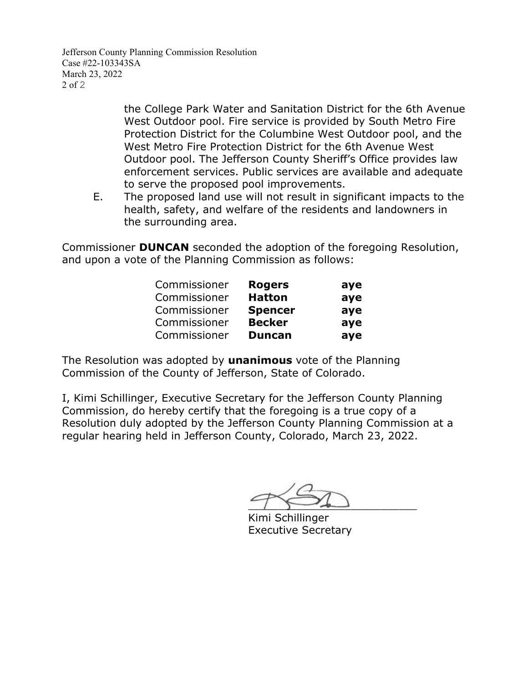Jefferson County Planning Commission Resolution Case #22-103343SA March 23, 2022 2 of 2

> the College Park Water and Sanitation District for the 6th Avenue West Outdoor pool. Fire service is provided by South Metro Fire Protection District for the Columbine West Outdoor pool, and the West Metro Fire Protection District for the 6th Avenue West Outdoor pool. The Jefferson County Sheriff's Office provides law enforcement services. Public services are available and adequate to serve the proposed pool improvements.

E. The proposed land use will not result in significant impacts to the health, safety, and welfare of the residents and landowners in the surrounding area.

Commissioner **DUNCAN** seconded the adoption of the foregoing Resolution, and upon a vote of the Planning Commission as follows:

| Commissioner | <b>Rogers</b>  | aye |
|--------------|----------------|-----|
| Commissioner | <b>Hatton</b>  | aye |
| Commissioner | <b>Spencer</b> | aye |
| Commissioner | <b>Becker</b>  | aye |
| Commissioner | <b>Duncan</b>  | aye |

The Resolution was adopted by **unanimous** vote of the Planning Commission of the County of Jefferson, State of Colorado.

I, Kimi Schillinger, Executive Secretary for the Jefferson County Planning Commission, do hereby certify that the foregoing is a true copy of a Resolution duly adopted by the Jefferson County Planning Commission at a regular hearing held in Jefferson County, Colorado, March 23, 2022.

 $\overline{\phantom{a}}$ 

Kimi Schillinger Executive Secretary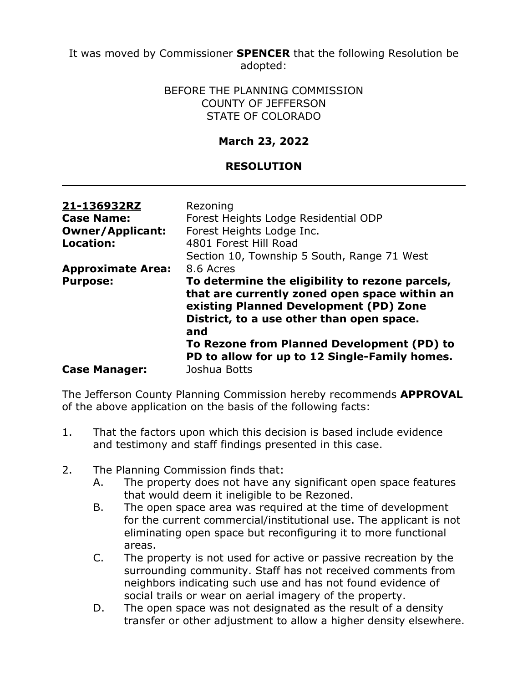It was moved by Commissioner **SPENCER** that the following Resolution be adopted:

> BEFORE THE PLANNING COMMISSION COUNTY OF JEFFERSON STATE OF COLORADO

## **March 23, 2022**

## **RESOLUTION**

| 21-136932RZ<br><b>Case Name:</b><br><b>Owner/Applicant:</b><br><b>Location:</b> | Rezoning<br>Forest Heights Lodge Residential ODP<br>Forest Heights Lodge Inc.<br>4801 Forest Hill Road<br>Section 10, Township 5 South, Range 71 West                                                       |
|---------------------------------------------------------------------------------|-------------------------------------------------------------------------------------------------------------------------------------------------------------------------------------------------------------|
| <b>Approximate Area:</b><br><b>Purpose:</b>                                     | 8.6 Acres<br>To determine the eligibility to rezone parcels,<br>that are currently zoned open space within an<br>existing Planned Development (PD) Zone<br>District, to a use other than open space.<br>and |
| <b>Case Manager:</b>                                                            | To Rezone from Planned Development (PD) to<br>PD to allow for up to 12 Single-Family homes.<br>Joshua Botts                                                                                                 |

The Jefferson County Planning Commission hereby recommends **APPROVAL** of the above application on the basis of the following facts:

- 1. That the factors upon which this decision is based include evidence and testimony and staff findings presented in this case.
- 2. The Planning Commission finds that:
	- A. The property does not have any significant open space features that would deem it ineligible to be Rezoned.
	- B. The open space area was required at the time of development for the current commercial/institutional use. The applicant is not eliminating open space but reconfiguring it to more functional areas.
	- C. The property is not used for active or passive recreation by the surrounding community. Staff has not received comments from neighbors indicating such use and has not found evidence of social trails or wear on aerial imagery of the property.
	- D. The open space was not designated as the result of a density transfer or other adjustment to allow a higher density elsewhere.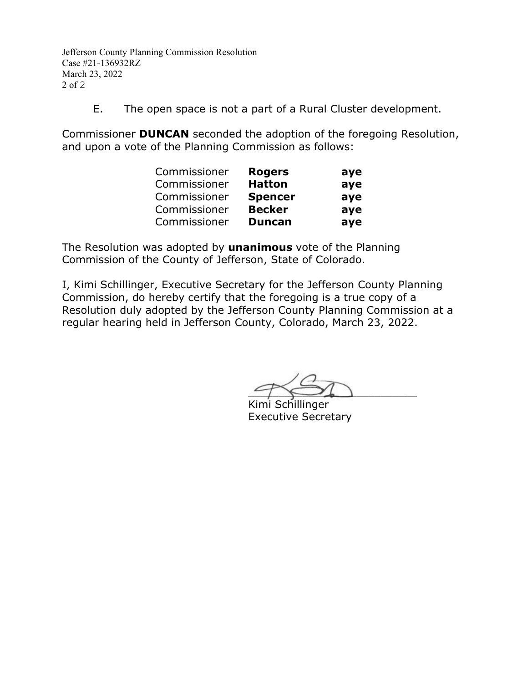Jefferson County Planning Commission Resolution Case #21-136932RZ March 23, 2022 2 of 2

E. The open space is not a part of a Rural Cluster development.

Commissioner **DUNCAN** seconded the adoption of the foregoing Resolution, and upon a vote of the Planning Commission as follows:

| Commissioner | <b>Rogers</b>  | aye |
|--------------|----------------|-----|
| Commissioner | <b>Hatton</b>  | aye |
| Commissioner | <b>Spencer</b> | aye |
| Commissioner | <b>Becker</b>  | aye |
| Commissioner | <b>Duncan</b>  | aye |

The Resolution was adopted by **unanimous** vote of the Planning Commission of the County of Jefferson, State of Colorado.

I, Kimi Schillinger, Executive Secretary for the Jefferson County Planning Commission, do hereby certify that the foregoing is a true copy of a Resolution duly adopted by the Jefferson County Planning Commission at a regular hearing held in Jefferson County, Colorado, March 23, 2022.

 $\rightarrow$ 

Kimi Schillinger Executive Secretary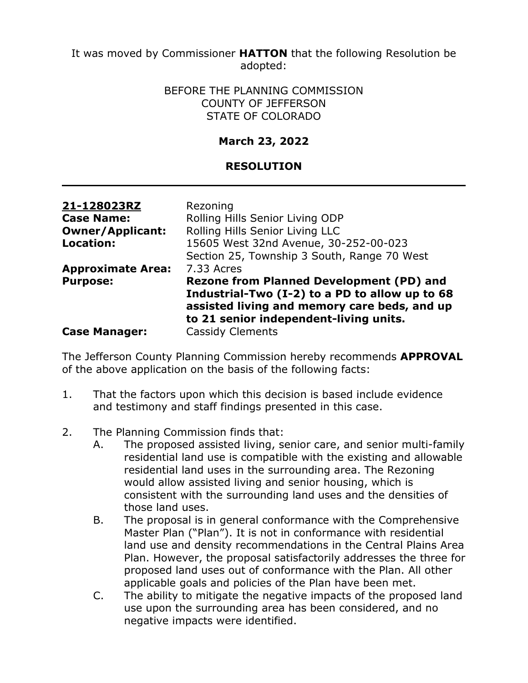It was moved by Commissioner **HATTON** that the following Resolution be adopted:

> BEFORE THE PLANNING COMMISSION COUNTY OF JEFFERSON STATE OF COLORADO

## **March 23, 2022**

## **RESOLUTION**

| 21-128023RZ              | Rezoning                                                                                                                                 |
|--------------------------|------------------------------------------------------------------------------------------------------------------------------------------|
| <b>Case Name:</b>        | Rolling Hills Senior Living ODP                                                                                                          |
| <b>Owner/Applicant:</b>  | Rolling Hills Senior Living LLC                                                                                                          |
| <b>Location:</b>         | 15605 West 32nd Avenue, 30-252-00-023                                                                                                    |
|                          | Section 25, Township 3 South, Range 70 West                                                                                              |
| <b>Approximate Area:</b> | 7.33 Acres                                                                                                                               |
| <b>Purpose:</b>          | <b>Rezone from Planned Development (PD) and</b>                                                                                          |
|                          | Industrial-Two (I-2) to a PD to allow up to 68<br>assisted living and memory care beds, and up<br>to 21 senior independent-living units. |
| <b>Case Manager:</b>     | <b>Cassidy Clements</b>                                                                                                                  |

The Jefferson County Planning Commission hereby recommends **APPROVAL** of the above application on the basis of the following facts:

- 1. That the factors upon which this decision is based include evidence and testimony and staff findings presented in this case.
- 2. The Planning Commission finds that:
	- A. The proposed assisted living, senior care, and senior multi-family residential land use is compatible with the existing and allowable residential land uses in the surrounding area. The Rezoning would allow assisted living and senior housing, which is consistent with the surrounding land uses and the densities of those land uses.
	- B. The proposal is in general conformance with the Comprehensive Master Plan ("Plan"). It is not in conformance with residential land use and density recommendations in the Central Plains Area Plan. However, the proposal satisfactorily addresses the three for proposed land uses out of conformance with the Plan. All other applicable goals and policies of the Plan have been met.
	- C. The ability to mitigate the negative impacts of the proposed land use upon the surrounding area has been considered, and no negative impacts were identified.